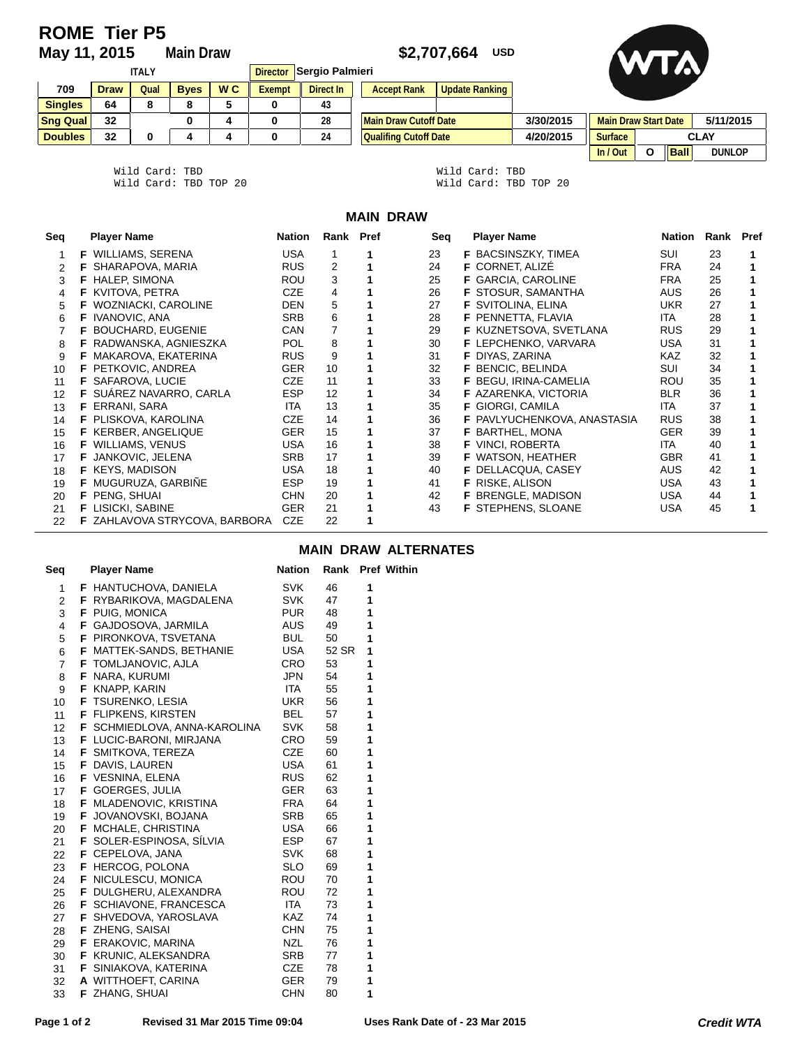# **ROME Tier P5**<br>May 11, 2015

## **Main Draw \$2,707,664 USD**



| <b>ITALY</b>    |             |      |             | Sergio Palmieri<br><b>Director</b> |        |           |                              |                       |  |
|-----------------|-------------|------|-------------|------------------------------------|--------|-----------|------------------------------|-----------------------|--|
| 709             | <b>Draw</b> | Qual | <b>Byes</b> | W <sub>C</sub>                     | Exempt | Direct In | <b>Accept Rank</b>           | <b>Update Ranking</b> |  |
| <b>Singles</b>  | 64          |      | 8           | 5                                  |        | 43        |                              |                       |  |
| <b>Sng Qual</b> | 32          |      |             | 4                                  |        | 28        | <b>Main Draw Cutoff Date</b> |                       |  |
| <b>Doubles</b>  | 32          |      |             | 4                                  |        | 24        | <b>Qualifing Cutoff Date</b> |                       |  |





| Wild Card: TBD |                       |  |  | Wild Card: TBD        |  |  |
|----------------|-----------------------|--|--|-----------------------|--|--|
|                | Wild Card: TBD TOP 20 |  |  | Wild Card: TBD TOP 20 |  |  |

### **MAIN DRAW**

| Seq | <b>Player Name</b>            | Nation     | Rank Pref | Seq | <b>Player Name</b>          | Nation     | Rank Pref |  |
|-----|-------------------------------|------------|-----------|-----|-----------------------------|------------|-----------|--|
|     | <b>F</b> WILLIAMS, SERENA     | <b>USA</b> |           | 23  | <b>F</b> BACSINSZKY, TIMEA  | SUI        | 23        |  |
|     | <b>F SHARAPOVA, MARIA</b>     | <b>RUS</b> | 2         | 24  | <b>F CORNET. ALIZE</b>      | <b>FRA</b> | 24        |  |
| 3   | <b>F</b> HALEP, SIMONA        | <b>ROU</b> | 3         | 25  | <b>F</b> GARCIA, CAROLINE   | <b>FRA</b> | 25        |  |
| 4   | <b>F</b> KVITOVA, PETRA       | <b>CZE</b> | 4         | 26  | <b>F</b> STOSUR, SAMANTHA   | AUS.       | 26        |  |
| 5.  | <b>F</b> WOZNIACKI, CAROLINE  | <b>DEN</b> | 5         | 27  | <b>F</b> SVITOLINA, ELINA   | <b>UKR</b> | 27        |  |
| 6   | <b>F</b> IVANOVIC, ANA        | <b>SRB</b> | 6         | 28  | F PENNETTA, FLAVIA          | <b>ITA</b> | 28        |  |
|     | F BOUCHARD, EUGENIE           | CAN        | 7         | 29  | F KUZNETSOVA, SVETLANA      | <b>RUS</b> | 29        |  |
| 8   | F RADWANSKA, AGNIESZKA        | <b>POL</b> | 8         | 30  | <b>F</b> LEPCHENKO, VARVARA | USA        | 31        |  |
| 9   | <b>F</b> MAKAROVA, EKATERINA  | <b>RUS</b> | 9         | 31  | <b>F</b> DIYAS, ZARINA      | KAZ.       | 32        |  |
| 10  | F PETKOVIC, ANDREA            | <b>GER</b> | 10        | 32  | <b>F</b> BENCIC, BELINDA    | SUI        | 34        |  |
| 11  | <b>F SAFAROVA, LUCIE</b>      | <b>CZE</b> | 11        | 33  | F BEGU, IRINA-CAMELIA       | <b>ROU</b> | 35        |  |
| 12  | F SUÁREZ NAVARRO, CARLA       | <b>ESP</b> | 12        | 34  | <b>F</b> AZARENKA, VICTORIA | <b>BLR</b> | 36        |  |
| 13  | <b>F</b> ERRANI, SARA         | <b>ITA</b> | 13        | 35  | <b>F</b> GIORGI, CAMILA     | ITA        | 37        |  |
| 14  | F PLISKOVA, KAROLINA          | <b>CZE</b> | 14        | 36  | F PAVLYUCHENKOVA, ANASTASIA | <b>RUS</b> | 38        |  |
| 15  | <b>F</b> KERBER, ANGELIQUE    | <b>GER</b> | 15        | 37  | BARTHEL, MONA<br>F.         | <b>GER</b> | 39        |  |
| 16  | <b>F</b> WILLIAMS, VENUS      | <b>USA</b> | 16        | 38  | <b>F</b> VINCI, ROBERTA     | ITA        | 40        |  |
| 17  | <b>F</b> JANKOVIC, JELENA     | <b>SRB</b> | 17        | 39  | <b>F</b> WATSON, HEATHER    | <b>GBR</b> | 41        |  |
| 18  | <b>F</b> KEYS, MADISON        | <b>USA</b> | 18        | 40  | <b>F</b> DELLACQUA, CASEY   | AUS        | 42        |  |
| 19  | <b>F</b> MUGURUZA, GARBINE    | <b>ESP</b> | 19        | 41  | <b>F</b> RISKE, ALISON      | <b>USA</b> | 43        |  |
| 20  | F PENG, SHUAI                 | <b>CHN</b> | 20        | 42  | F BRENGLE, MADISON          | <b>USA</b> | 44        |  |
| 21  | <b>F</b> LISICKI, SABINE      | <b>GER</b> | 21        | 43  | <b>F</b> STEPHENS, SLOANE   | USA        | 45        |  |
| 22  | F ZAHLAVOVA STRYCOVA, BARBORA | <b>CZE</b> | 22        |     |                             |            |           |  |

## **MAIN DRAW ALTERNATES**

| Seq             | <b>Player Name</b>                  | Nation     |       |   | Rank Pref Within |
|-----------------|-------------------------------------|------------|-------|---|------------------|
| 1               | <b>F</b> HANTUCHOVA, DANIELA        | SVK        | 46    | 1 |                  |
| 2               | F RYBARIKOVA, MAGDALENA             | SVK        | 47    | 1 |                  |
| 3               | <b>F</b> PUIG, MONICA               | <b>PUR</b> | 48    | 1 |                  |
| 4               | <b>F</b> GAJDOSOVA, JARMILA         | AUS        | 49    | 1 |                  |
| 5               | <b>F</b> PIRONKOVA, TSVETANA        | BUL        | 50    | 1 |                  |
| 6               | <b>F</b> MATTEK-SANDS, BETHANIE     | USA        | 52 SR | 1 |                  |
| $\overline{7}$  | <b>F</b> TOMLJANOVIC, AJLA          | CRO        | 53    | 1 |                  |
| 8               | <b>F</b> NARA, KURUMI               | JPN        | 54    | 1 |                  |
| 9               | <b>F</b> KNAPP, KARIN               | ITA        | 55    | 1 |                  |
| 10              | <b>F</b> TSURENKO, LESIA            | UKR        | 56    | 1 |                  |
| 11              | <b>F</b> FLIPKENS, KIRSTEN          | <b>BEL</b> | 57    | 1 |                  |
| 12 <sup>7</sup> | <b>F SCHMIEDLOVA, ANNA-KAROLINA</b> | SVK        | 58    | 1 |                  |
| 13              | F LUCIC-BARONI, MIRJANA             | CRO        | 59    | 1 |                  |
| 14              | <b>F</b> SMITKOVA, TEREZA           | CZE        | 60    | 1 |                  |
| 15              | <b>F</b> DAVIS, LAUREN              | USA        | 61    | 1 |                  |
| 16              | F VESNINA, ELENA                    | RUS        | 62    | 1 |                  |
| 17              | <b>F</b> GOERGES, JULIA             | GER        | 63    | 1 |                  |
| 18              | <b>F</b> MLADENOVIC, KRISTINA       | FRA        | 64    | 1 |                  |
| 19              | <b>F</b> JOVANOVSKI, BOJANA         | SRB        | 65    | 1 |                  |
| 20              | <b>F</b> MCHALE, CHRISTINA          | USA        | 66    | 1 |                  |
| 21              | <b>F</b> SOLER-ESPINOSA, SILVIA     | ESP        | 67    | 1 |                  |
| 22              | <b>F</b> CEPELOVA, JANA             | SVK        | 68    | 1 |                  |
| 23              | <b>F</b> HERCOG, POLONA             | SLO        | 69    | 1 |                  |
| 24              | <b>F</b> NICULESCU, MONICA          | ROU        | 70    | 1 |                  |
| 25              | <b>F</b> DULGHERU, ALEXANDRA        | ROU        | 72    | 1 |                  |
| 26              | <b>F</b> SCHIAVONE, FRANCESCA       | ITA        | 73    | 1 |                  |
| 27              | <b>F</b> SHVEDOVA, YAROSLAVA        | KAZ        | 74    | 1 |                  |
| 28              | <b>F</b> ZHENG, SAISAI              | CHN        | 75    | 1 |                  |
| 29              | <b>F</b> ERAKOVIC, MARINA           | NZL        | 76    | 1 |                  |
| 30              | <b>F</b> KRUNIC, ALEKSANDRA         | SRB        | 77    | 1 |                  |
| 31              | <b>F</b> SINIAKOVA, KATERINA        | CZE        | 78    | 1 |                  |
| 32              | A WITTHOEFT, CARINA                 | GER        | 79    | 1 |                  |
| 33              | <b>F</b> ZHANG, SHUAI               | <b>CHN</b> | 80    | 1 |                  |
|                 |                                     |            |       |   |                  |